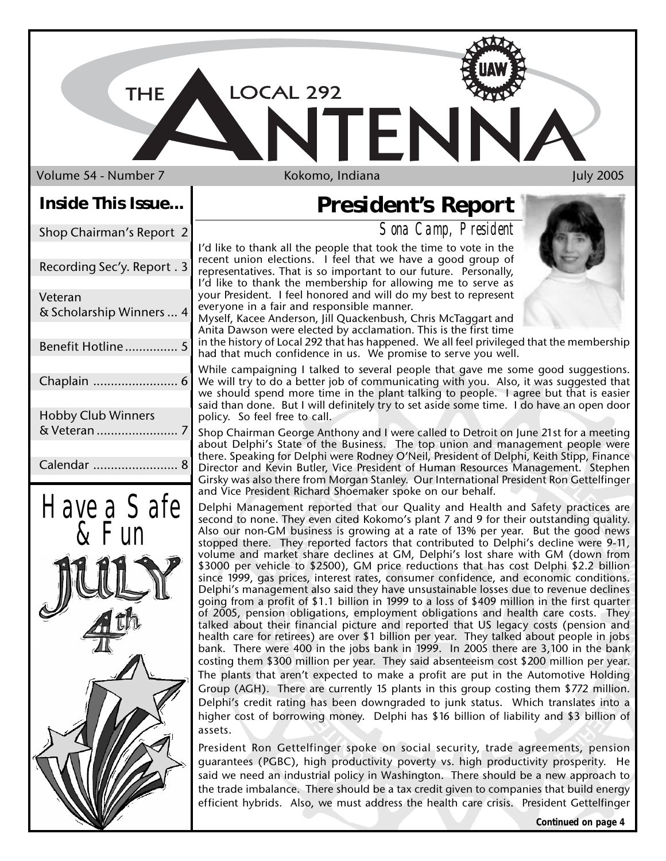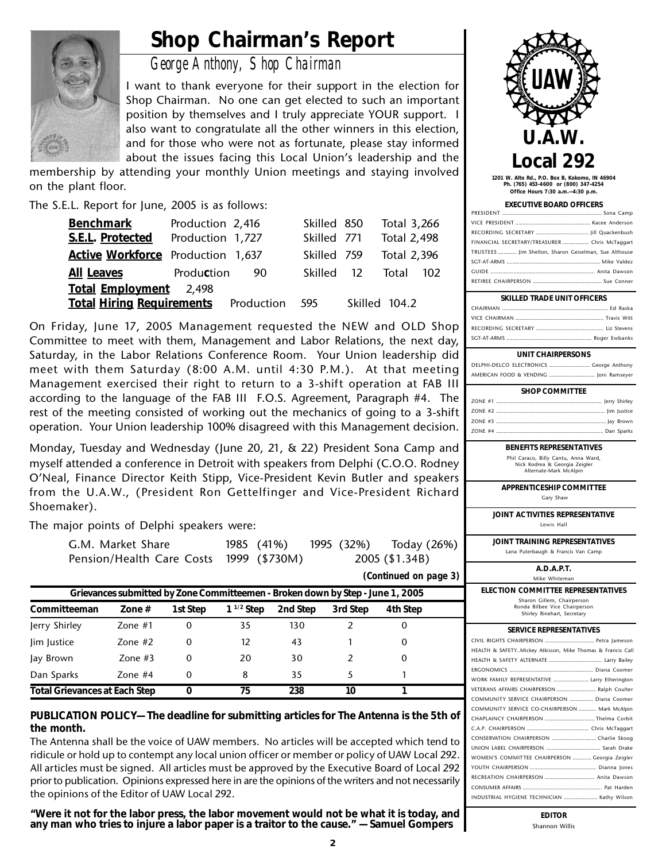## **Shop Chairman's Report**



*George Anthony, Shop Chairman*

I want to thank everyone for their support in the election for Shop Chairman. No one can get elected to such an important position by themselves and I truly appreciate YOUR support. I also want to congratulate all the other winners in this election, and for those who were not as fortunate, please stay informed about the issues facing this Local Union's leadership and the

membership by attending your monthly Union meetings and staying involved on the plant floor.

The S.E.L. Report for June, 2005 is as follows:

| <b>Benchmark</b>                  | Production 2,416 |            | Skilled 850 | Total 3,266        |     |
|-----------------------------------|------------------|------------|-------------|--------------------|-----|
| S.E.L. Protected                  | Production 1,727 |            | Skilled 771 | <b>Total 2,498</b> |     |
| Active Workforce Production 1,637 |                  |            | Skilled 759 | Total 2,396        |     |
| <b>All Leaves</b>                 | Production       | 90         | Skilled 12  | Total              | 102 |
| Total Employment 2,498            |                  |            |             |                    |     |
| <b>Total Hiring Requirements</b>  |                  | Production | -595        | Skilled 104.2      |     |

On Friday, June 17, 2005 Management requested the NEW and OLD Shop Committee to meet with them, Management and Labor Relations, the next day, Saturday, in the Labor Relations Conference Room. Your Union leadership did meet with them Saturday (8:00 A.M. until 4:30 P.M.). At that meeting Management exercised their right to return to a 3-shift operation at FAB III according to the language of the FAB III F.O.S. Agreement, Paragraph #4. The rest of the meeting consisted of working out the mechanics of going to a 3-shift operation. Your Union leadership 100% disagreed with this Management decision.

Monday, Tuesday and Wednesday (June 20, 21, & 22) President Sona Camp and myself attended a conference in Detroit with speakers from Delphi (C.O.O. Rodney O'Neal, Finance Director Keith Stipp, Vice-President Kevin Butler and speakers from the U.A.W., (President Ron Gettelfinger and Vice-President Richard Shoemaker).

The major points of Delphi speakers were:

| G.M. Market Share                       | 1985 (41%) |  | 1995 (32%) Today (26%) |
|-----------------------------------------|------------|--|------------------------|
| Pension/Health Care Costs 1999 (\$730M) |            |  | 2005 (\$1.34B)         |

| (Continued on page 3)                                                                      |           |    |     |     |  |   |  |
|--------------------------------------------------------------------------------------------|-----------|----|-----|-----|--|---|--|
| Grievances submitted by Zone Committeemen - Broken down by Step - June 1, 2005             |           |    |     |     |  |   |  |
| $1^{1/2}$ Step<br>Committeeman<br>2nd Step<br>3rd Step<br>4th Step<br>1st Step<br>Zone $#$ |           |    |     |     |  |   |  |
| Jerry Shirley                                                                              | Zone $#1$ | 0  | 35  | 130 |  | 0 |  |
| lim Justice                                                                                | Zone $#2$ | 0  | 12  | 43  |  | 0 |  |
| Jay Brown                                                                                  | Zone $#3$ | 0  | 20  | 30  |  | 0 |  |
| Dan Sparks                                                                                 | Zone $#4$ | 0  | 8   | 35  |  |   |  |
| <b>Total Grievances at Each Step</b>                                                       |           | 75 | 238 | 10  |  |   |  |

**PUBLICATION POLICY— The deadline for submitting articles for The Antenna is the 5th of the month.**

The Antenna shall be the voice of UAW members. No articles will be accepted which tend to ridicule or hold up to contempt any local union officer or member or policy of UAW Local 292. All articles must be signed. All articles must be approved by the Executive Board of Local 292 prior to publication. Opinions expressed here in are the opinions of the writers and not necessarily the opinions of the Editor of UAW Local 292.

**"Were it not for the labor press, the labor movement would not be what it is today, and any man who tries to injure a labor paper is a traitor to the cause." — Samuel Gompers**



**1201 W. Alto Rd., P.O. Box B, Kokomo, IN 46904 Ph. (765) 453-4600 or (800) 347-4254 Office Hours 7:30 a.m.—4:30 p.m.**

#### **EXECUTIVE BOARD OFFICERS**

| FINANCIAL SECRETARY/TREASURER  Chris McTaggart        |  |
|-------------------------------------------------------|--|
| TRUSTEES  Jim Shelton, Sharon Geiselman, Sue Althouse |  |
|                                                       |  |
|                                                       |  |
|                                                       |  |
|                                                       |  |

#### **SKILLED TRADE UNIT OFFICERS**

#### **UNIT CHAIRPERSONS**

DELPHI-DELCO ELECTRONICS ............................ George Anthony AMERICAN FOOD & VENDING ............................... Joni Ramseyer

| <b>SHOP COMMITTEE</b> |  |
|-----------------------|--|
|                       |  |
|                       |  |
|                       |  |
|                       |  |

#### **BENEFITS REPRESENTATIVES** Phil Caraco, Billy Cantu, Anna Ward,

Nick Kodrea & Georgia Zeigler Alternate-Mark McAlpin

**APPRENTICESHIP COMMITTEE** Gary Shaw

**JOINT ACTIVITIES REPRESENTATIVE** Lewis Hall

**JOINT TRAINING REPRESENTATIVES**

Lana Puterbaugh & Francis Van Camp

**A.D.A.P.T.** Mike Whiteman

**ELECTION COMMITTEE REPRESENTATIVES** Sharon Gillem, Chairperson

Ronda Bilbee Vice Chairperson Shirley Rinehart, Secretary

### **SERVICE REPRESENTATIVES**

| HEALTH & SAFETYMickey Atkisson, Mike Thomas & Francis Call |
|------------------------------------------------------------|
|                                                            |
|                                                            |
| WORK FAMILY REPRESENTATIVE  Larry Etherington              |
| VETERANS AFFAIRS CHAIRPERSON  Ralph Coulter                |
| COMMUNITY SERVICE CHAIRPERSON  Diana Coomer                |
| COMMUNITY SERVICE CO-CHAIRPERSON  Mark McAlpin             |
|                                                            |
|                                                            |
| CONSERVATION CHAIRPERSON  Charlie Skoog                    |
|                                                            |
| WOMEN'S COMMITTEE CHAIRPERSON  Georgia Zeigler             |
|                                                            |
|                                                            |
|                                                            |
| INDUSTRIAL HYGIENE TECHNICIAN  Kathy Wilson                |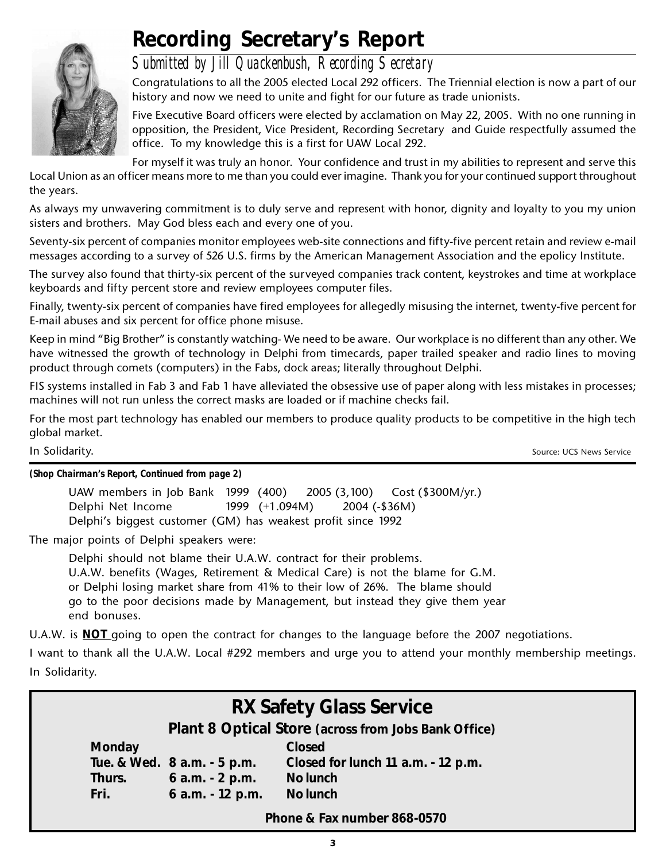

# **Recording Secretary's Report**

### *Submitted by Jill Quackenbush, Recording Secretary*

Congratulations to all the 2005 elected Local 292 officers. The Triennial election is now a part of our history and now we need to unite and fight for our future as trade unionists.

Five Executive Board officers were elected by acclamation on May 22, 2005. With no one running in opposition, the President, Vice President, Recording Secretary and Guide respectfully assumed the office. To my knowledge this is a first for UAW Local 292.

For myself it was truly an honor. Your confidence and trust in my abilities to represent and serve this Local Union as an officer means more to me than you could ever imagine. Thank you for your continued support throughout the years.

As always my unwavering commitment is to duly serve and represent with honor, dignity and loyalty to you my union sisters and brothers. May God bless each and every one of you.

Seventy-six percent of companies monitor employees web-site connections and fifty-five percent retain and review e-mail messages according to a survey of 526 U.S. firms by the American Management Association and the epolicy Institute.

The survey also found that thirty-six percent of the surveyed companies track content, keystrokes and time at workplace keyboards and fifty percent store and review employees computer files.

Finally, twenty-six percent of companies have fired employees for allegedly misusing the internet, twenty-five percent for E-mail abuses and six percent for office phone misuse.

Keep in mind "Big Brother" is constantly watching- We need to be aware. Our workplace is no different than any other. We have witnessed the growth of technology in Delphi from timecards, paper trailed speaker and radio lines to moving product through comets (computers) in the Fabs, dock areas; literally throughout Delphi.

FIS systems installed in Fab 3 and Fab 1 have alleviated the obsessive use of paper along with less mistakes in processes; machines will not run unless the correct masks are loaded or if machine checks fail.

For the most part technology has enabled our members to produce quality products to be competitive in the high tech global market.

In Solidarity. Source: UCS News Service and Source: UCS News Service and Source: UCS News Service

*(Shop Chairman's Report, Continued from page 2)*

UAW members in Job Bank 1999 (400) 2005 (3,100) Cost (\$300M/yr.) Delphi Net Income 1999 (+1.094M) 2004 (-\$36M) Delphi's biggest customer (GM) has weakest profit since 1992

The major points of Delphi speakers were:

Delphi should not blame their U.A.W. contract for their problems. U.A.W. benefits (Wages, Retirement & Medical Care) is not the blame for G.M. or Delphi losing market share from 41% to their low of 26%. The blame should go to the poor decisions made by Management, but instead they give them year end bonuses.

U.A.W. is **NOT** going to open the contract for changes to the language before the 2007 negotiations.

I want to thank all the U.A.W. Local #292 members and urge you to attend your monthly membership meetings. In Solidarity.

| <b>RX Safety Glass Service</b><br>Plant 8 Optical Store (across from Jobs Bank Office) |                                                                                                                                                      |  |  |  |  |
|----------------------------------------------------------------------------------------|------------------------------------------------------------------------------------------------------------------------------------------------------|--|--|--|--|
| Monday<br>Thurs.<br>Fri.                                                               | <b>Closed</b><br>Tue. & Wed. 8 a.m. - 5 p.m.<br>Closed for lunch 11 a.m. - 12 p.m.<br>$6$ a.m. $-2$ p.m.<br>No lunch<br>6 a.m. - 12 p.m.<br>No lunch |  |  |  |  |
| Phone & Fax number 868-0570                                                            |                                                                                                                                                      |  |  |  |  |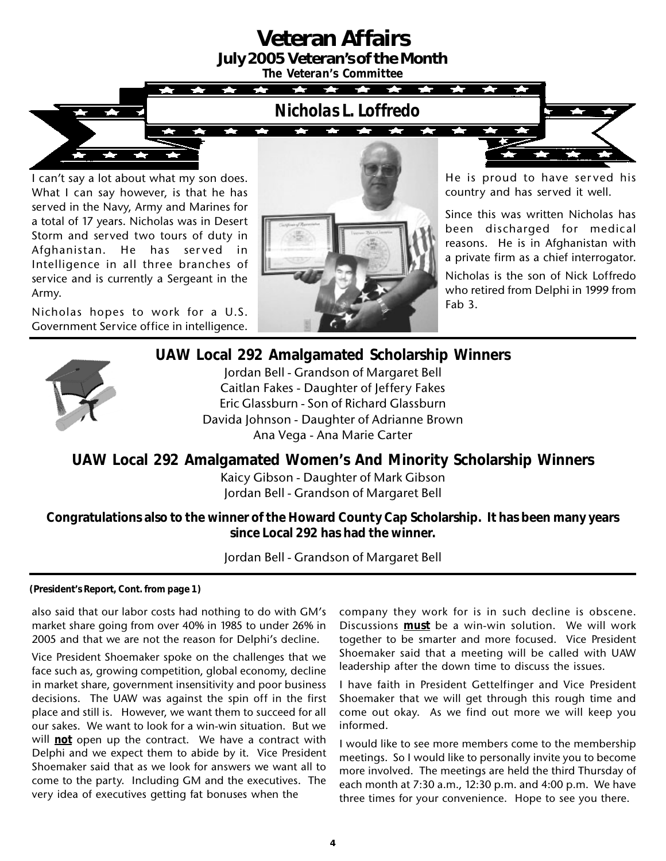# **Veteran Affairs**

**July 2005 Veteran's of the Month**

**The Co** 

*The Veteran's Committee*

**TAP** *Nicholas L. Loffredo*

**Take** 

I can't say a lot about what my son does. What I can say however, is that he has served in the Navy, Army and Marines for a total of 17 years. Nicholas was in Desert Storm and served two tours of duty in Afghanistan. He has served in Intelligence in all three branches of service and is currently a Sergeant in the Army.

Nicholas hopes to work for a U.S. Government Service office in intelligence.



He is proud to have served his country and has served it well.

Since this was written Nicholas has been discharged for medical reasons. He is in Afghanistan with a private firm as a chief interrogator.

Nicholas is the son of Nick Loffredo who retired from Delphi in 1999 from Fab 3.



### **UAW Local 292 Amalgamated Scholarship Winners**

Jordan Bell - Grandson of Margaret Bell Caitlan Fakes - Daughter of Jeffery Fakes Eric Glassburn - Son of Richard Glassburn Davida Johnson - Daughter of Adrianne Brown Ana Vega - Ana Marie Carter

**UAW Local 292 Amalgamated Women's And Minority Scholarship Winners**

Kaicy Gibson - Daughter of Mark Gibson Jordan Bell - Grandson of Margaret Bell

**Congratulations also to the winner of the Howard County Cap Scholarship. It has been many years since Local 292 has had the winner.**

Jordan Bell - Grandson of Margaret Bell

**(President's Report, Cont. from page 1)**

also said that our labor costs had nothing to do with GM's market share going from over 40% in 1985 to under 26% in 2005 and that we are not the reason for Delphi's decline.

Vice President Shoemaker spoke on the challenges that we face such as, growing competition, global economy, decline in market share, government insensitivity and poor business decisions. The UAW was against the spin off in the first place and still is. However, we want them to succeed for all our sakes. We want to look for a win-win situation. But we will **not** open up the contract. We have a contract with Delphi and we expect them to abide by it. Vice President Shoemaker said that as we look for answers we want all to come to the party. Including GM and the executives. The very idea of executives getting fat bonuses when the

company they work for is in such decline is obscene. Discussions **must** be a win-win solution. We will work together to be smarter and more focused. Vice President Shoemaker said that a meeting will be called with UAW leadership after the down time to discuss the issues.

I have faith in President Gettelfinger and Vice President Shoemaker that we will get through this rough time and come out okay. As we find out more we will keep you informed.

I would like to see more members come to the membership meetings. So I would like to personally invite you to become more involved. The meetings are held the third Thursday of each month at 7:30 a.m., 12:30 p.m. and 4:00 p.m. We have three times for your convenience. Hope to see you there.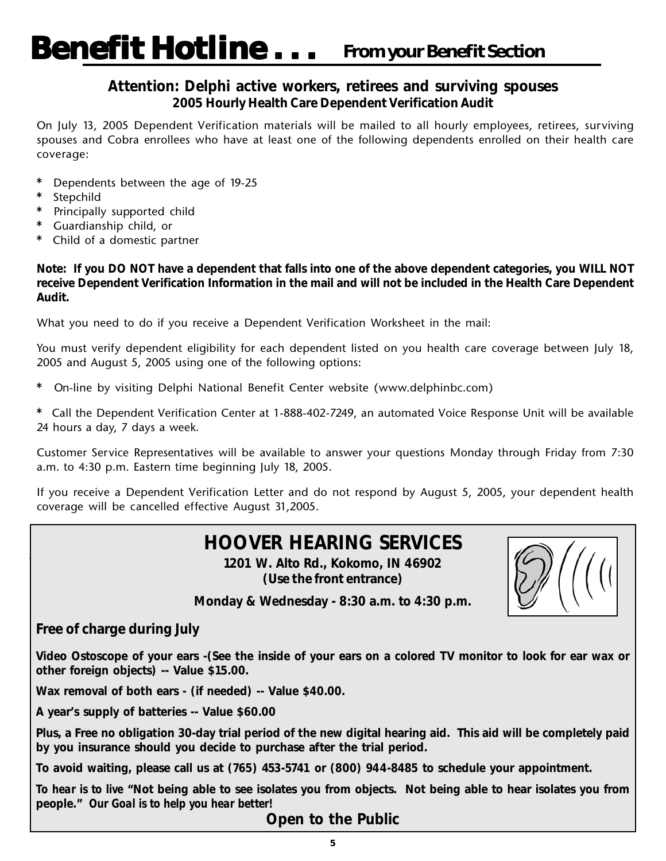### **Attention: Delphi active workers, retirees and surviving spouses 2005 Hourly Health Care Dependent Verification Audit**

On July 13, 2005 Dependent Verification materials will be mailed to all hourly employees, retirees, surviving spouses and Cobra enrollees who have at least one of the following dependents enrolled on their health care coverage:

- **\*** Dependents between the age of 19-25
- **\*** Stepchild
- **\*** Principally supported child
- **\*** Guardianship child, or
- **\*** Child of a domestic partner

**Note: If you DO NOT have a dependent that falls into one of the above dependent categories, you WILL NOT receive Dependent Verification Information in the mail and will not be included in the Health Care Dependent Audit.**

What you need to do if you receive a Dependent Verification Worksheet in the mail:

You must verify dependent eligibility for each dependent listed on you health care coverage between July 18, 2005 and August 5, 2005 using one of the following options:

**\*** On-line by visiting Delphi National Benefit Center website (www.delphinbc.com)

**\*** Call the Dependent Verification Center at 1-888-402-7249, an automated Voice Response Unit will be available 24 hours a day, 7 days a week.

Customer Service Representatives will be available to answer your questions Monday through Friday from 7:30 a.m. to 4:30 p.m. Eastern time beginning July 18, 2005.

If you receive a Dependent Verification Letter and do not respond by August 5, 2005, your dependent health coverage will be cancelled effective August 31,2005.

### **HOOVER HEARING SERVICES**

**1201 W. Alto Rd., Kokomo, IN 46902 (Use the front entrance)**



**Monday & Wednesday - 8:30 a.m. to 4:30 p.m.**

**Free of charge during July**

**Video Ostoscope of your ears -(See the inside of your ears on a colored TV monitor to look for ear wax or other foreign objects) -- Value \$15.00.**

**Wax removal of both ears - (if needed) -- Value \$40.00.**

**A year's supply of batteries -- Value \$60.00**

**Plus, a Free no obligation 30-day trial period of the new digital hearing aid. This aid will be completely paid by you insurance should you decide to purchase after the trial period.**

**To avoid waiting, please call us at (765) 453-5741 or (800) 944-8485 to schedule your appointment.**

*To hear is to live* **"Not being able to see isolates you from objects. Not being able to hear isolates you from people."** *Our Goal is to help you hear better!*

**Open to the Public**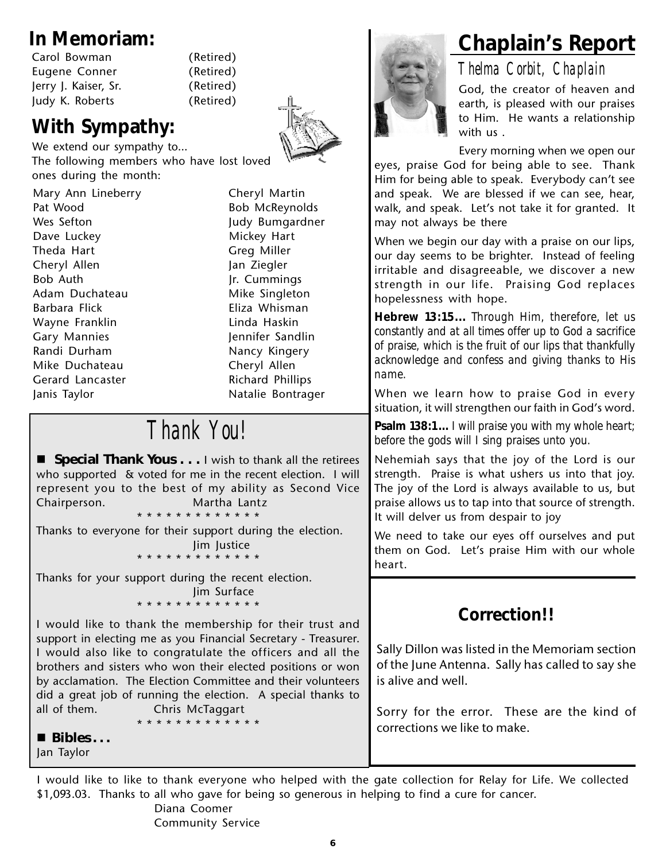| Carol Bowman         |  |
|----------------------|--|
| Eugene Conner        |  |
| Jerry J. Kaiser, Sr. |  |
| Judy K. Roberts      |  |

(Retired) (Retired) (Retired) (Retired)

### **With Sympathy:**

We extend our sympathy to… The following members who have lost loved ones during the month:

Mary Ann Lineberry **Cheryl Martin** Pat Wood Bob McReynolds Wes Sefton Judy Bumgardner Dave Luckey **Mickey** Mickey Hart Theda Hart Greg Miller Cheryl Allen Jan Ziegler Bob Auth **Jr. Cummings** Adam Duchateau Mike Singleton Barbara Flick **Eliza Whisman** Wayne Franklin **Linda Haskin** Gary Mannies **Jennifer Sandlin** Randi Durham Nancy Kingery Mike Duchateau Cheryl Allen Gerard Lancaster **Richard Phillips** Janis Taylor **Natalie Bontrager** 

# *Thank You!*

**E** Special Thank Yous . . . I wish to thank all the retirees who supported & voted for me in the recent election. I will represent you to the best of my ability as Second Vice Chairperson. Martha Lantz \* \* \* \* \* \* \* \* \* \* \* \* \*

Thanks to everyone for their support during the election. Jim Justice

\* \* \* \* \* \* \* \* \* \* \* \* \*

Thanks for your support during the recent election. Jim Surface

\* \* \* \* \* \* \* \* \* \* \* \* \*

I would like to thank the membership for their trust and support in electing me as you Financial Secretary - Treasurer. I would also like to congratulate the officers and all the brothers and sisters who won their elected positions or won by acclamation. The Election Committee and their volunteers did a great job of running the election. A special thanks to all of them. Chris McTaggart

\* \* \* \* \* \* \* \* \* \* \* \* \*

 **Bibles . . .** Jan Taylor

**In Memoriam: Chaplain's Report**

*Thelma Corbit, Chaplain* God, the creator of heaven and earth, is pleased with our praises to Him. He wants a relationship with us .

Every morning when we open our eyes, praise God for being able to see. Thank Him for being able to speak. Everybody can't see and speak. We are blessed if we can see, hear, walk, and speak. Let's not take it for granted. It may not always be there

When we begin our day with a praise on our lips, our day seems to be brighter. Instead of feeling irritable and disagreeable, we discover a new strength in our life. Praising God replaces hopelessness with hope.

**Hebrew 13:15...** *Through Him, therefore, let us constantly and at all times offer up to God a sacrifice of praise, which is the fruit of our lips that thankfully acknowledge and confess and giving thanks to His name.*

When we learn how to praise God in every situation, it will strengthen our faith in God's word.

**Psalm 138:1...** *I will praise you with my whole heart; before the gods will I sing praises unto you.*

Nehemiah says that the joy of the Lord is our strength. Praise is what ushers us into that joy. The joy of the Lord is always available to us, but praise allows us to tap into that source of strength. It will delver us from despair to joy

We need to take our eyes off ourselves and put them on God. Let's praise Him with our whole heart.

### **Correction!!**

Sally Dillon was listed in the Memoriam section of the June Antenna. Sally has called to say she is alive and well.

Sorry for the error. These are the kind of corrections we like to make.

I would like to like to thank everyone who helped with the gate collection for Relay for Life. We collected \$1,093.03. Thanks to all who gave for being so generous in helping to find a cure for cancer.

Diana Coomer Community Service

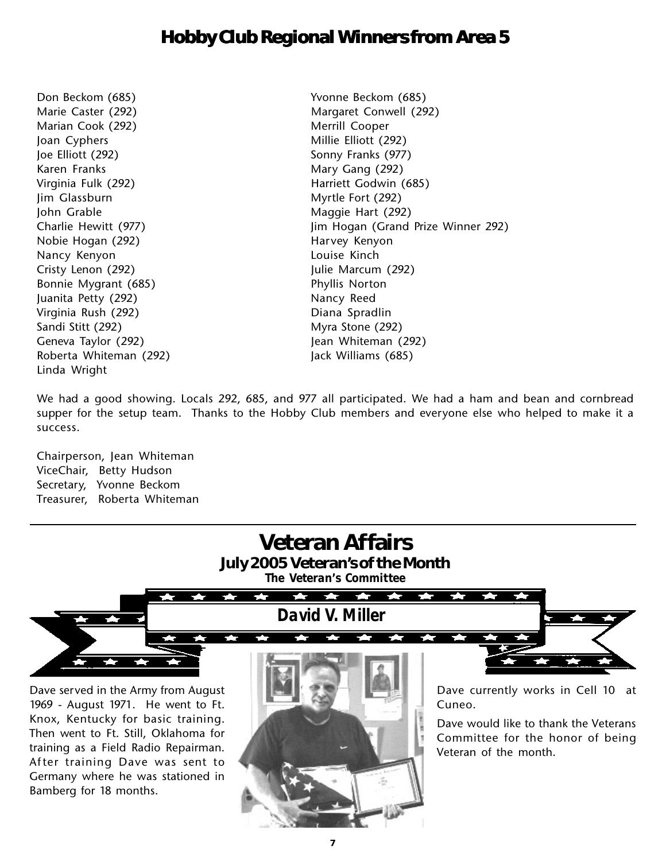### **Hobby Club Regional Winners from Area 5**

Marian Cook (292) Merrill Cooper Joan Cyphers Millie Elliott (292) Joe Elliott (292) Sonny Franks (977) Karen Franks Mary Gang (292) Virginia Fulk (292) **Harriett Godwin (685)** Jim Glassburn Myrtle Fort (292) John Grable Maggie Hart (292) Nobie Hogan (292) **Harvey Kenyon** Nancy Kenyon **Louise Kinch** Cristy Lenon (292) Julie Marcum (292) Bonnie Mygrant (685) Phyllis Norton Juanita Petty (292) Nancy Reed Virginia Rush (292) Diana Spradlin Sandi Stitt (292) Myra Stone (292) Geneva Taylor (292) Jean Whiteman (292) Roberta Whiteman (292) Jack Williams (685) Linda Wright

Don Beckom (685) Yvonne Beckom (685) Marie Caster (292) Margaret Conwell (292) Charlie Hewitt (977) **State 1 Charlie Hewitt (977)** Jim Hogan (Grand Prize Winner 292)

We had a good showing. Locals 292, 685, and 977 all participated. We had a ham and bean and cornbread supper for the setup team. Thanks to the Hobby Club members and everyone else who helped to make it a success.

Chairperson, Jean Whiteman ViceChair, Betty Hudson Secretary, Yvonne Beckom Treasurer, Roberta Whiteman